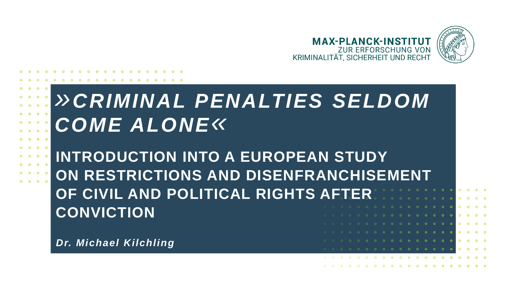

# *»CRIMINAL PENALTIES SELDOM COME ALONE«*

**INTRODUCTION INTO A EUROPEAN STUDY ON RESTRICTIONS AND DISENFRANCHISEMENT OF CIVIL AND POLITICAL RIGHTS AFTER CONVICTION**

*Dr. Michael Kilchling*

**O** 

 $\circ$ 

 $\Omega$ 

ം  $\Omega$  $\circ$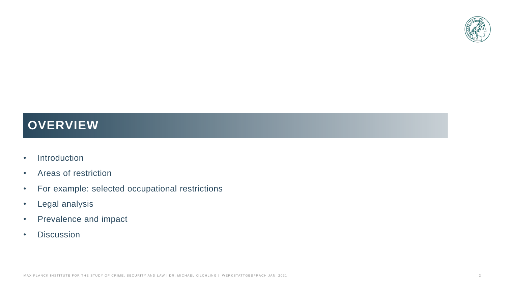

# **OVERVIEW**

- Introduction
- Areas of restriction
- For example: selected occupational restrictions
- Legal analysis
- Prevalence and impact
- Discussion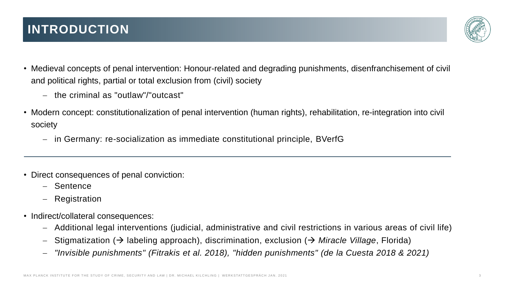

- Medieval concepts of penal intervention: Honour-related and degrading punishments, disenfranchisement of civil and political rights, partial or total exclusion from (civil) society
	- − the criminal as "outlaw"/"outcast"
- Modern concept: constitutionalization of penal intervention (human rights), rehabilitation, re-integration into civil society
	- − in Germany: re-socialization as immediate constitutional principle, BVerfG
- Direct consequences of penal conviction:
	- − Sentence
	- − Registration
- Indirect/collateral consequences:
	- − Additional legal interventions (judicial, administrative and civil restrictions in various areas of civil life)
	- − Stigmatization (→ labeling approach), discrimination, exclusion (→ *Miracle Village*, Florida)
	- − *"Invisible punishments" (Fitrakis et al. 2018), "hidden punishments" (de la Cuesta 2018 & 2021)*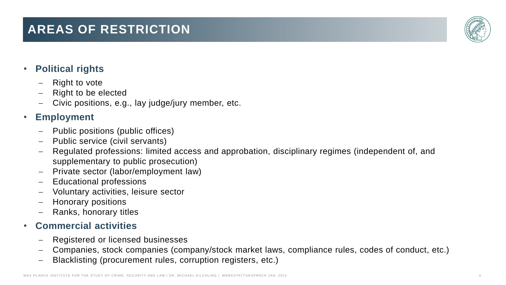#### MAX PLANCK INSTITUTE FOR THE STUDY OF CRIME, SECURITY AND LAW | DR. MICHAEL KILCHLING | WERKSTATTGESPRÄCH JAN. 2021

# **AREAS OF RESTRICTION**

#### • **Political rights**

- **Fight to vote**
- − Right to be elected
- − Civic positions, e.g., lay judge/jury member, etc.

#### • **Employment**

- − Public positions (public offices)
- − Public service (civil servants)
- Regulated professions: limited access and approbation, disciplinary regimes (independent of, and supplementary to public prosecution)
- − Private sector (labor/employment law)
- Educational professions
- − Voluntary activities, leisure sector
- − Honorary positions
- Ranks, honorary titles

#### • **Commercial activities**

- − Registered or licensed businesses
- − Companies, stock companies (company/stock market laws, compliance rules, codes of conduct, etc.)
- − Blacklisting (procurement rules, corruption registers, etc.)

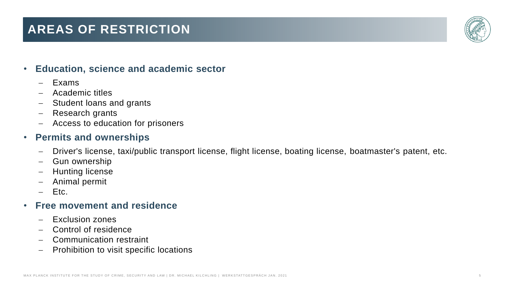# **AREAS OF RESTRICTION**



#### • **Education, science and academic sector**

- − Exams
- − Academic titles
- − Student loans and grants
- − Research grants
- − Access to education for prisoners

#### • **Permits and ownerships**

- − Driver's license, taxi/public transport license, flight license, boating license, boatmaster's patent, etc.
- − Gun ownership
- − Hunting license
- − Animal permit
- − Etc.

#### • **Free movement and residence**

- − Exclusion zones
- − Control of residence
- − Communication restraint
- Prohibition to visit specific locations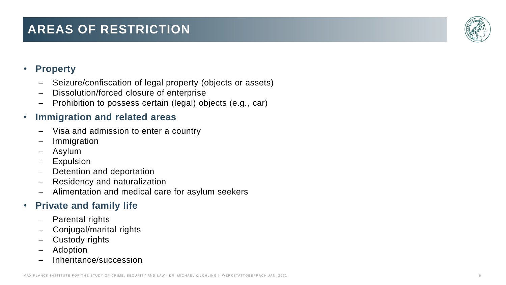#### MAX PLANCK INSTITUTE FOR THE STUDY OF CRIME, SECURITY AND LAW | DR. MICHAEL KILCHLING | WERKSTATTGESPRÄCH JAN. 2021

# **AREAS OF RESTRICTION**

#### • **Property**

- − Seizure/confiscation of legal property (objects or assets)
- − Dissolution/forced closure of enterprise
- − Prohibition to possess certain (legal) objects (e.g., car)

#### • **Immigration and related areas**

- − Visa and admission to enter a country
- − Immigration
- − Asylum
- − Expulsion
- − Detention and deportation
- − Residency and naturalization
- − Alimentation and medical care for asylum seekers

### • **Private and family life**

- Parental rights
- Conjugal/marital rights
- − Custody rights
- − Adoption
- − Inheritance/succession

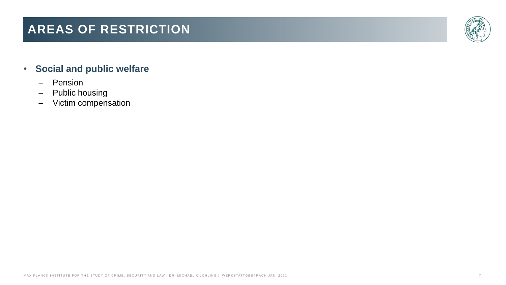# **AREAS OF RESTRICTION**



#### • **Social and public welfare**

- − Pension
- − Public housing
- − Victim compensation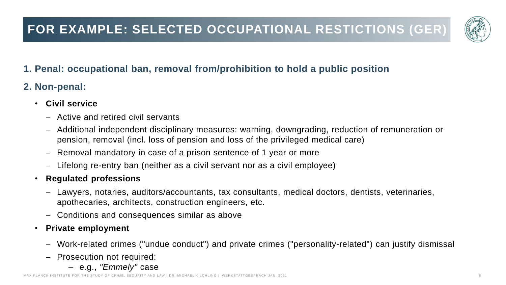

### **1. Penal: occupational ban, removal from/prohibition to hold a public position**

### **2. Non-penal:**

- **Civil service**
	- − Active and retired civil servants
	- − Additional independent disciplinary measures: warning, downgrading, reduction of remuneration or pension, removal (incl. loss of pension and loss of the privileged medical care)
	- Removal mandatory in case of a prison sentence of 1 year or more
	- − Lifelong re-entry ban (neither as a civil servant nor as a civil employee)

#### • **Regulated professions**

- − Lawyers, notaries, auditors/accountants, tax consultants, medical doctors, dentists, veterinaries, apothecaries, architects, construction engineers, etc.
- − Conditions and consequences similar as above
- **Private employment**
	- − Work-related crimes ("undue conduct") and private crimes ("personality-related") can justify dismissal
	- − Prosecution not required:
		- − e.g., *"Emmely"* case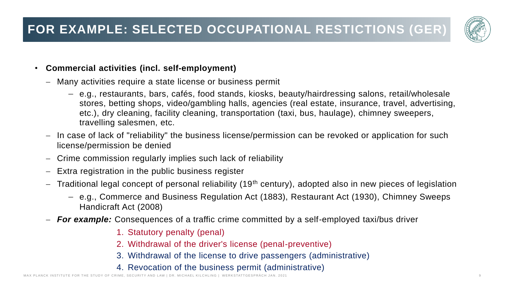

#### • **Commercial activities (incl. self-employment)**

- − Many activities require a state license or business permit
	- − e.g., restaurants, bars, cafés, food stands, kiosks, beauty/hairdressing salons, retail/wholesale stores, betting shops, video/gambling halls, agencies (real estate, insurance, travel, advertising, etc.), dry cleaning, facility cleaning, transportation (taxi, bus, haulage), chimney sweepers, travelling salesmen, etc.
- − In case of lack of "reliability" the business license/permission can be revoked or application for such license/permission be denied
- − Crime commission regularly implies such lack of reliability
- − Extra registration in the public business register
- Traditional legal concept of personal reliability (19<sup>th</sup> century), adopted also in new pieces of legislation
	- − e.g., Commerce and Business Regulation Act (1883), Restaurant Act (1930), Chimney Sweeps Handicraft Act (2008)
- − *For example:* Consequences of a traffic crime committed by a self-employed taxi/bus driver
	- 1. Statutory penalty (penal)
	- 2. Withdrawal of the driver's license (penal-preventive)
	- 3. Withdrawal of the license to drive passengers (administrative)
	- 4. Revocation of the business permit (administrative)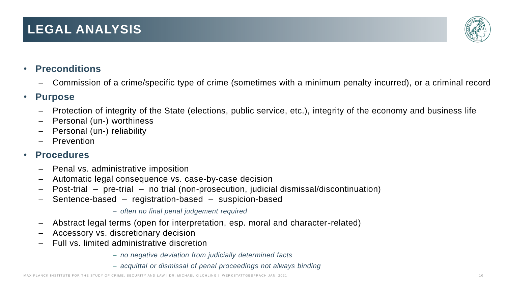#### M A X PL A N C K I N ST I T UT E F O R T HE ST U D Y O F C RI M E, S E C U RI T Y AN D L AW | D R. MI C H A E L KI L C H L I NG | W ER K STAT T G E S P R Ä C H J A N. 2 0 2 1 1 0

## **LEGAL ANALYSIS**

- **Preconditions**
	- − Commission of a crime/specific type of crime (sometimes with a minimum penalty incurred), or a criminal record

#### • **Purpose**

- − Protection of integrity of the State (elections, public service, etc.), integrity of the economy and business life
- − Personal (un-) worthiness
- − Personal (un-) reliability
- **Prevention**

#### • **Procedures**

- − Penal vs. administrative imposition
- − Automatic legal consequence vs. case-by-case decision
- − Post-trial pre-trial no trial (non-prosecution, judicial dismissal/discontinuation)
- − Sentence-based registration-based suspicion-based

− *often no final penal judgement required*

- − Abstract legal terms (open for interpretation, esp. moral and character-related)
- − Accessory vs. discretionary decision
- − Full vs. limited administrative discretion
	- − *no negative deviation from judicially determined facts*
	- − *acquittal or dismissal of penal proceedings not always binding*

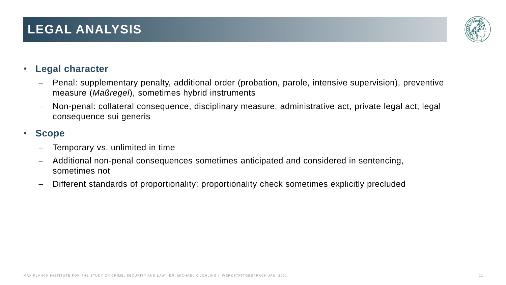# **LEGAL ANALYSIS**

### • **Legal character**

- − Penal: supplementary penalty, additional order (probation, parole, intensive supervision), preventive measure (*Maßregel*), sometimes hybrid instruments
- − Non-penal: collateral consequence, disciplinary measure, administrative act, private legal act, legal consequence sui generis

#### • **Scope**

- Temporary vs. unlimited in time
- − Additional non-penal consequences sometimes anticipated and considered in sentencing, sometimes not
- Different standards of proportionality; proportionality check sometimes explicitly precluded

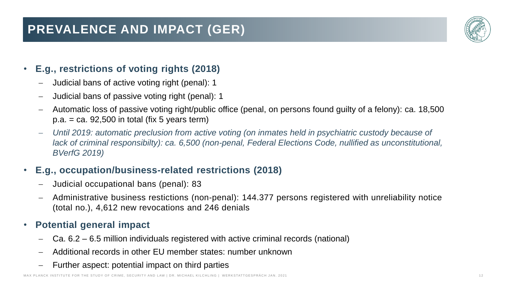# **PREVALENCE AND IMPACT (GER)**



#### • **E.g., restrictions of voting rights (2018)**

- − Judicial bans of active voting right (penal): 1
- − Judicial bans of passive voting right (penal): 1
- − Automatic loss of passive voting right/public office (penal, on persons found guilty of a felony): ca. 18,500  $p.a. = ca. 92,500$  in total (fix 5 years term)
- − *Until 2019: automatic preclusion from active voting (on inmates held in psychiatric custody because of lack of criminal responsibilty): ca. 6,500 (non-penal, Federal Elections Code, nullified as unconstitutional, BVerfG 2019)*

### • **E.g., occupation/business-related restrictions (2018)**

- − Judicial occupational bans (penal): 83
- − Administrative business restictions (non-penal): 144.377 persons registered with unreliability notice (total no.), 4,612 new revocations and 246 denials

#### • **Potential general impact**

- Ca. 6.2 6.5 million individuals registered with active criminal records (national)
- − Additional records in other EU member states: number unknown
- Further aspect: potential impact on third parties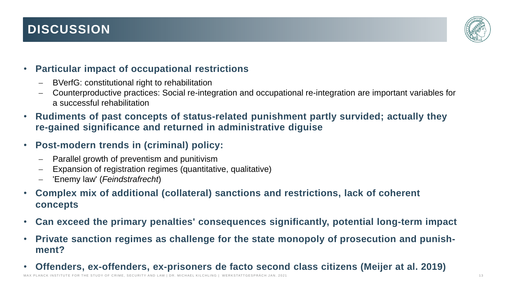# **DISCUSSION**



#### • **Particular impact of occupational restrictions**

- − BVerfG: constitutional right to rehabilitation
- − Counterproductive practices: Social re-integration and occupational re-integration are important variables for a successful rehabilitation
- **Rudiments of past concepts of status-related punishment partly survided; actually they re-gained significance and returned in administrative diguise**
- **Post-modern trends in (criminal) policy:**
	- Parallel growth of preventism and punitivism
	- Expansion of registration regimes (quantitative, qualitative)
	- − 'Enemy law' (*Feindstrafrecht*)
- **Complex mix of additional (collateral) sanctions and restrictions, lack of coherent concepts**
- **Can exceed the primary penalties' consequences significantly, potential long-term impact**
- **Private sanction regimes as challenge for the state monopoly of prosecution and punishment?**
- **Offenders, ex-offenders, ex-prisoners de facto second class citizens (Meijer at al. 2019)** MAX PLANCK INSTITUTE FOR THE STUDY OF CRIME, SECURITY AND LAW | DR. MICHAEL KILCHLING | WERKSTATTGESPRACH JAN. 2021 1 2021 1 2021 1 2021 1 2021 1 2021 1 2021 1 2021 1 2021 1 2021 1 2021 1 2021 1 2021 1 2021 1 2021 1 2021 1